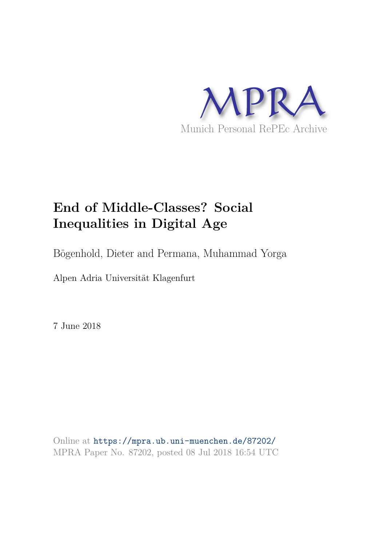

# **End of Middle-Classes? Social Inequalities in Digital Age**

Bögenhold, Dieter and Permana, Muhammad Yorga

Alpen Adria Universität Klagenfurt

7 June 2018

Online at https://mpra.ub.uni-muenchen.de/87202/ MPRA Paper No. 87202, posted 08 Jul 2018 16:54 UTC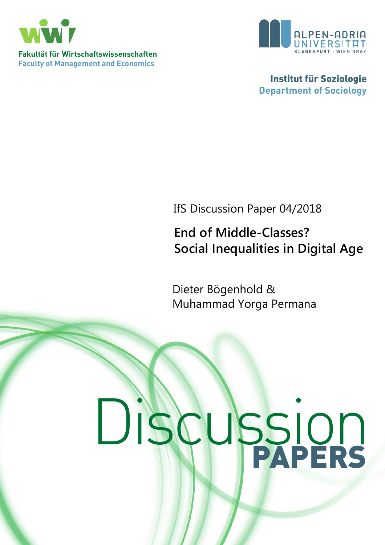

**Fakultät für Wirtschaftswissenschaften Faculty of Management and Economics**



Institut für Soziologie **Department of Sociology** 

IfS Discussion Paper 04/2018<br>**End of Middle-Classes?**<br>**Social Inequalities in Digi**<br>Dieter Bögenhold &<br>Muhammad Yorga Permana **End of Middle-Classes? Social Inequalities in Digital Age** 

Dieter Bögenhold &

# Discussion PAPERS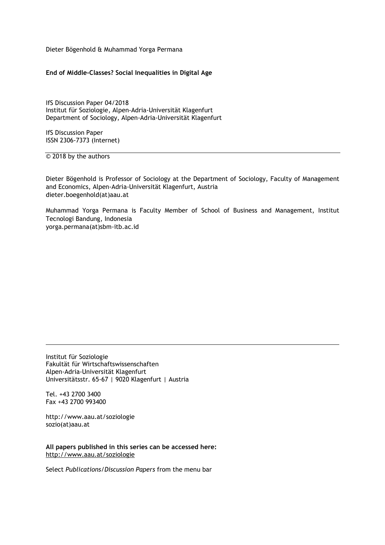Dieter Bögenhold & Muhammad Yorga Permana

#### **End of Middle-Classes? Social Inequalities in Digital Age**

IfS Discussion Paper 04/2018 Institut für Soziologie, Alpen-Adria-Universität Klagenfurt Department of Sociology, Alpen-Adria-Universität Klagenfurt

IfS Discussion Paper ISSN 2306-7373 (Internet)

© 2018 by the authors

Dieter Bögenhold is Professor of Sociology at the Department of Sociology, Faculty of Management and Economics, Alpen-Adria-Universität Klagenfurt, Austria dieter.boegenhold(at)aau.at

Muhammad Yorga Permana is Faculty Member of School of Business and Management, Institut Tecnologi Bandung, Indonesia yorga.permana(at)sbm-itb.ac.id

Institut für Soziologie Fakultät für Wirtschaftswissenschaften Alpen-Adria-Universität Klagenfurt Universitätsstr. 65-67 | 9020 Klagenfurt | Austria

Tel. +43 2700 3400 Fax +43 2700 993400

http://www.aau.at/soziologie sozio(at)aau.at

**All papers published in this series can be accessed here:**  http://www.aau.at/soziologie

Select *Publications*/*Discussion Papers* from the menu bar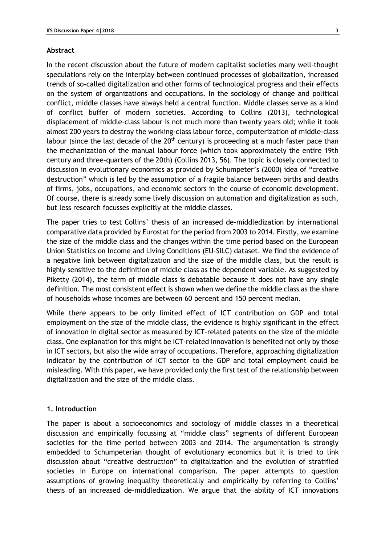#### **Abstract**

In the recent discussion about the future of modern capitalist societies many well-thought speculations rely on the interplay between continued processes of globalization, increased trends of so-called digitalization and other forms of technological progress and their effects on the system of organizations and occupations. In the sociology of change and political conflict, middle classes have always held a central function. Middle classes serve as a kind of conflict buffer of modern societies. According to Collins (2013), technological displacement of middle-class labour is not much more than twenty years old; while it took almost 200 years to destroy the working-class labour force, computerization of middle-class labour (since the last decade of the  $20<sup>th</sup>$  century) is proceeding at a much faster pace than the mechanization of the manual labour force (which took approximately the entire 19th century and three-quarters of the 20th) (Collins 2013, 56). The topic is closely connected to discussion in evolutionary economics as provided by Schumpeter's (2000) idea of "creative destruction" which is led by the assumption of a fragile balance between births and deaths of firms, jobs, occupations, and economic sectors in the course of economic development. Of course, there is already some lively discussion on automation and digitalization as such, but less research focusses explicitly at the middle classes.

The paper tries to test Collins' thesis of an increased de-middledization by international comparative data provided by Eurostat for the period from 2003 to 2014. Firstly, we examine the size of the middle class and the changes within the time period based on the European Union Statistics on Income and Living Conditions (EU-SILC) dataset. We find the evidence of a negative link between digitalization and the size of the middle class, but the result is highly sensitive to the definition of middle class as the dependent variable. As suggested by Piketty (2014), the term of middle class is debatable because it does not have any single definition. The most consistent effect is shown when we define the middle class as the share of households whose incomes are between 60 percent and 150 percent median.

While there appears to be only limited effect of ICT contribution on GDP and total employment on the size of the middle class, the evidence is highly significant in the effect of innovation in digital sector as measured by ICT-related patents on the size of the middle class. One explanation for this might be ICT-related innovation is benefited not only by those in ICT sectors, but also the wide array of occupations. Therefore, approaching digitalization indicator by the contribution of ICT sector to the GDP and total employment could be misleading. With this paper, we have provided only the first test of the relationship between digitalization and the size of the middle class.

#### **1. Introduction**

The paper is about a socioeconomics and sociology of middle classes in a theoretical discussion and empirically focussing at "middle class" segments of different European societies for the time period between 2003 and 2014. The argumentation is strongly embedded to Schumpeterian thought of evolutionary economics but it is tried to link discussion about "creative destruction" to digitalization and the evolution of stratified societies in Europe on international comparison. The paper attempts to question assumptions of growing inequality theoretically and empirically by referring to Collins' thesis of an increased de-middledization. We argue that the ability of ICT innovations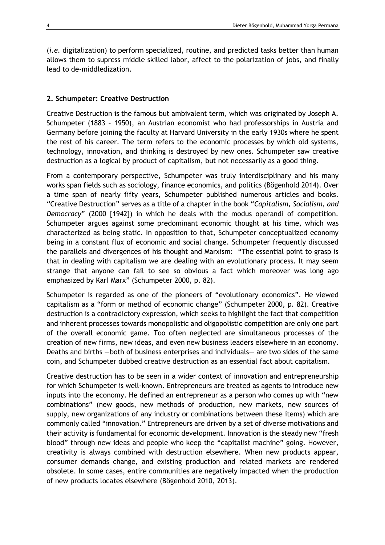(*i.e.* digitalization) to perform specialized, routine, and predicted tasks better than human allows them to supress middle skilled labor, affect to the polarization of jobs, and finally lead to de-middledization.

# **2. Schumpeter: Creative Destruction**

Creative Destruction is the famous but ambivalent term, which was originated by Joseph A. Schumpeter (1883 - 1950), an Austrian economist who had professorships in Austria and Germany before joining the faculty at Harvard University in the early 1930s where he spent the rest of his career. The term refers to the economic processes by which old systems, technology, innovation, and thinking is destroyed by new ones. Schumpeter saw creative destruction as a logical by product of capitalism, but not necessarily as a good thing.

From a contemporary perspective, Schumpeter was truly interdisciplinary and his many works span fields such as sociology, finance economics, and politics (Bögenhold 2014). Over a time span of nearly fifty years, Schumpeter published numerous articles and books. "Creative Destruction" serves as a title of a chapter in the book "Capitalism, Socialism, and *Democracy* (2000 [1942]) in which he deals with the modus operandi of competition. Schumpeter argues against some predominant economic thought at his time, which was characterized as being static. In opposition to that, Schumpeter conceptualized economy being in a constant flux of economic and social change. Schumpeter frequently discussed the parallels and divergences of his thought and Marxism: "The essential point to grasp is that in dealing with capitalism we are dealing with an evolutionary process. It may seem strange that anyone can fail to see so obvious a fact which moreover was long ago emphasized by Karl Marx" (Schumpeter 2000, p. 82).

Schumpeter is regarded as one of the pioneers of "evolutionary economics". He viewed capitalism as a "form or method of economic change" (Schumpeter 2000, p. 82). Creative destruction is a contradictory expression, which seeks to highlight the fact that competition and inherent processes towards monopolistic and oligopolistic competition are only one part of the overall economic game. Too often neglected are simultaneous processes of the creation of new firms, new ideas, and even new business leaders elsewhere in an economy. Deaths and births -both of business enterprises and individuals are two sides of the same coin, and Schumpeter dubbed creative destruction as an essential fact about capitalism.

Creative destruction has to be seen in a wider context of innovation and entrepreneurship for which Schumpeter is well-known. Entrepreneurs are treated as agents to introduce new inputs into the economy. He defined an entrepreneur as a person who comes up with "new combinations" (new goods, new methods of production, new markets, new sources of supply, new organizations of any industry or combinations between these items) which are commonly called "innovation." Entrepreneurs are driven by a set of diverse motivations and their activity is fundamental for economic development. Innovation is the steady new "fresh blood" through new ideas and people who keep the "capitalist machine" going. However, creativity is always combined with destruction elsewhere. When new products appear, consumer demands change, and existing production and related markets are rendered obsolete. In some cases, entire communities are negatively impacted when the production of new products locates elsewhere (Bögenhold 2010, 2013).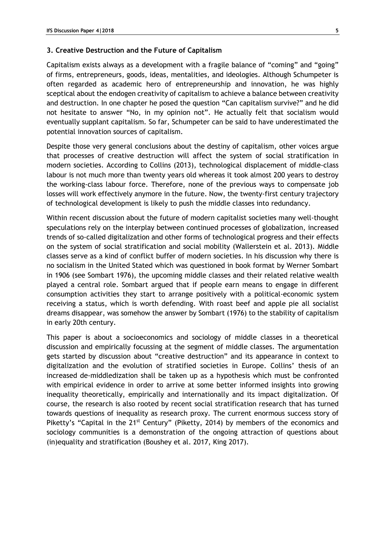#### **3. Creative Destruction and the Future of Capitalism**

Capitalism exists always as a development with a fragile balance of "coming" and "going" of firms, entrepreneurs, goods, ideas, mentalities, and ideologies. Although Schumpeter is often regarded as academic hero of entrepreneurship and innovation, he was highly sceptical about the endogen creativity of capitalism to achieve a balance between creativity and destruction. In one chapter he posed the question "Can capitalism survive?" and he did not hesitate to answer "No, in my opinion not". He actually felt that socialism would eventually supplant capitalism. So far, Schumpeter can be said to have underestimated the potential innovation sources of capitalism.

Despite those very general conclusions about the destiny of capitalism, other voices argue that processes of creative destruction will affect the system of social stratification in modern societies. According to Collins (2013), technological displacement of middle-class labour is not much more than twenty years old whereas it took almost 200 years to destroy the working-class labour force. Therefore, none of the previous ways to compensate job losses will work effectively anymore in the future. Now, the twenty-first century trajectory of technological development is likely to push the middle classes into redundancy.

Within recent discussion about the future of modern capitalist societies many well-thought speculations rely on the interplay between continued processes of globalization, increased trends of so-called digitalization and other forms of technological progress and their effects on the system of social stratification and social mobility (Wallerstein et al. 2013). Middle classes serve as a kind of conflict buffer of modern societies. In his discussion why there is no socialism in the United Stated which was questioned in book format by Werner Sombart in 1906 (see Sombart 1976), the upcoming middle classes and their related relative wealth played a central role. Sombart argued that if people earn means to engage in different consumption activities they start to arrange positively with a political-economic system receiving a status, which is worth defending. With roast beef and apple pie all socialist dreams disappear, was somehow the answer by Sombart (1976) to the stability of capitalism in early 20th century.

This paper is about a socioeconomics and sociology of middle classes in a theoretical discussion and empirically focussing at the segment of middle classes. The argumentation gets started by discussion about "creative destruction" and its appearance in context to digitalization and the evolution of stratified societies in Europe. Collins' thesis of an increased de-middledization shall be taken up as a hypothesis which must be confronted with empirical evidence in order to arrive at some better informed insights into growing inequality theoretically, empirically and internationally and its impact digitalization. Of course, the research is also rooted by recent social stratification research that has turned towards questions of inequality as research proxy. The current enormous success story of Piketty's "Capital in the 21<sup>st</sup> Century" (Piketty, 2014) by members of the economics and sociology communities is a demonstration of the ongoing attraction of questions about (in)equality and stratification (Boushey et al. 2017, King 2017).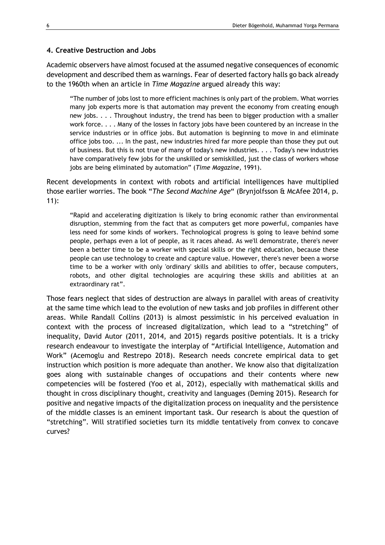#### **4. Creative Destruction and Jobs**

Academic observers have almost focused at the assumed negative consequences of economic development and described them as warnings. Fear of deserted factory halls go back already to the 1960th when an article in *Time Magazine* argued already this way:

The number of jobs lost to more efficient machines is only part of the problem. What worries many job experts more is that automation may prevent the economy from creating enough new jobs. . . . Throughout industry, the trend has been to bigger production with a smaller work force. . . . Many of the losses in factory jobs have been countered by an increase in the service industries or in office jobs. But automation is beginning to move in and eliminate office jobs too. ... In the past, new industries hired far more people than those they put out of business. But this is not true of many of today's new industries. . . . Today's new industries have comparatively few jobs for the unskilled or semiskilled, just the class of workers whose jobs are being eliminated by automation" (*Time Magazine*, 1991).

Recent developments in context with robots and artificial intelligences have multiplied those earlier worries. The book "The Second Machine Age" (Brynjolfsson & McAfee 2014, p. 11):

Rapid and accelerating digitization is likely to bring economic rather than environmental disruption, stemming from the fact that as computers get more powerful, companies have less need for some kinds of workers. Technological progress is going to leave behind some people, perhaps even a lot of people, as it races ahead. As we'll demonstrate, there's never been a better time to be a worker with special skills or the right education, because these people can use technology to create and capture value. However, there's never been a worse time to be a worker with only 'ordinary' skills and abilities to offer, because computers, robots, and other digital technologies are acquiring these skills and abilities at an extraordinary rat".

Those fears neglect that sides of destruction are always in parallel with areas of creativity at the same time which lead to the evolution of new tasks and job profiles in different other areas. While Randall Collins (2013) is almost pessimistic in his perceived evaluation in context with the process of increased digitalization, which lead to a "stretching" of inequality, David Autor (2011, 2014, and 2015) regards positive potentials. It is a tricky research endeavour to investigate the interplay of "Artificial Intelligence, Automation and Work" (Acemoglu and Restrepo 2018). Research needs concrete empirical data to get instruction which position is more adequate than another. We know also that digitalization goes along with sustainable changes of occupations and their contents where new competencies will be fostered (Yoo et al, 2012), especially with mathematical skills and thought in cross disciplinary thought, creativity and languages (Deming 2015). Research for positive and negative impacts of the digitalization process on inequality and the persistence of the middle classes is an eminent important task. Our research is about the question of "stretching". Will stratified societies turn its middle tentatively from convex to concave curves?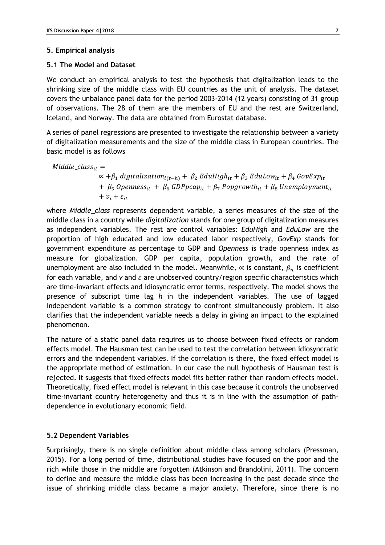#### **5. Empirical analysis**

#### **5.1 The Model and Dataset**

We conduct an empirical analysis to test the hypothesis that digitalization leads to the shrinking size of the middle class with EU countries as the unit of analysis. The dataset covers the unbalance panel data for the period 2003-2014 (12 years) consisting of 31 group of observations. The 28 of them are the members of EU and the rest are Switzerland, Iceland, and Norway. The data are obtained from Eurostat database.

A series of panel regressions are presented to investigate the relationship between a variety of digitalization measurements and the size of the middle class in European countries. The basic model is as follows

Middle\_class<sub>it</sub> =  $\propto +\beta_1$  digitalization $_{i(t-h)}+\beta_2$  EduHigh $_{it}+\beta_3$  EduLow $_{it}+\beta_4$  GovExp $_{it}$  $+$   $\beta_5$  Openness $_{it}$  +  $\beta_6$  GDPpcap $_{it}$  +  $\beta_7$  Popgrowth $_{it}$  +  $\beta_8$  Unemployment $_{it}$  $+ v_i + \varepsilon_{it}$ 

where *Middle\_class* represents dependent variable, a series measures of the size of the middle class in a country while *digitalization* stands for one group of digitalization measures as independent variables. The rest are control variables: *EduHigh* and *EduLow* are the proportion of high educated and low educated labor respectively, *GovExp* stands for government expenditure as percentage to GDP and *Openness* is trade openness index as measure for globalization. GDP per capita, population growth, and the rate of unemployment are also included in the model. Meanwhile,  $\alpha$  is constant,  $\beta_n$  is coefficient for each variable, and  $v$  and  $\varepsilon$  are unobserved country/region specific characteristics which are time-invariant effects and idiosyncratic error terms, respectively. The model shows the presence of subscript time lag *h* in the independent variables. The use of lagged independent variable is a common strategy to confront simultaneously problem. It also clarifies that the independent variable needs a delay in giving an impact to the explained phenomenon.

The nature of a static panel data requires us to choose between fixed effects or random effects model. The Hausman test can be used to test the correlation between idiosyncratic errors and the independent variables. If the correlation is there, the fixed effect model is the appropriate method of estimation. In our case the null hypothesis of Hausman test is rejected. It suggests that fixed effects model fits better rather than random effects model. Theoretically, fixed effect model is relevant in this case because it controls the unobserved time-invariant country heterogeneity and thus it is in line with the assumption of pathdependence in evolutionary economic field.

# **5.2 Dependent Variables**

Surprisingly, there is no single definition about middle class among scholars (Pressman, 2015). For a long period of time, distributional studies have focused on the poor and the rich while those in the middle are forgotten (Atkinson and Brandolini, 2011). The concern to define and measure the middle class has been increasing in the past decade since the issue of shrinking middle class became a major anxiety. Therefore, since there is no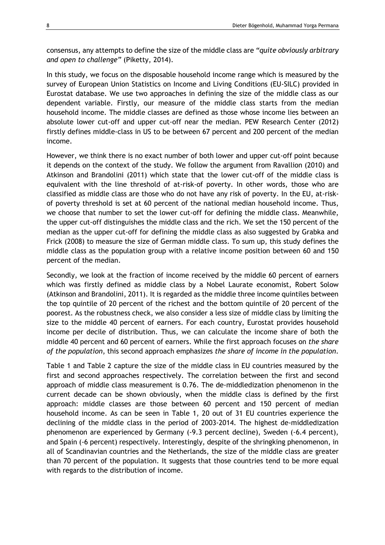consensus, any attempts to define the size of the middle class are *"quite obviously arbitrary and open to challenge-* (Piketty, 2014).

In this study, we focus on the disposable household income range which is measured by the survey of European Union Statistics on Income and Living Conditions (EU-SILC) provided in Eurostat database. We use two approaches in defining the size of the middle class as our dependent variable. Firstly, our measure of the middle class starts from the median household income. The middle classes are defined as those whose income lies between an absolute lower cut-off and upper cut-off near the median. PEW Research Center (2012) firstly defines middle-class in US to be between 67 percent and 200 percent of the median income.

However, we think there is no exact number of both lower and upper cut-off point because it depends on the context of the study. We follow the argument from Ravallion (2010) and Atkinson and Brandolini (2011) which state that the lower cut-off of the middle class is equivalent with the line threshold of at-risk-of poverty. In other words, those who are classified as middle class are those who do not have any risk of poverty. In the EU, at-riskof poverty threshold is set at 60 percent of the national median household income. Thus, we choose that number to set the lower cut-off for defining the middle class. Meanwhile, the upper cut-off distinguishes the middle class and the rich. We set the 150 percent of the median as the upper cut-off for defining the middle class as also suggested by Grabka and Frick (2008) to measure the size of German middle class. To sum up, this study defines the middle class as the population group with a relative income position between 60 and 150 percent of the median.

Secondly, we look at the fraction of income received by the middle 60 percent of earners which was firstly defined as middle class by a Nobel Laurate economist, Robert Solow (Atkinson and Brandolini, 2011). It is regarded as the middle three income quintiles between the top quintile of 20 percent of the richest and the bottom quintile of 20 percent of the poorest. As the robustness check, we also consider a less size of middle class by limiting the size to the middle 40 percent of earners. For each country, Eurostat provides household income per decile of distribution. Thus, we can calculate the income share of both the middle 40 percent and 60 percent of earners. While the first approach focuses on *the share of the population*, this second approach emphasizes *the share of income in the population*.

Table 1 and Table 2 capture the size of the middle class in EU countries measured by the first and second approaches respectively. The correlation between the first and second approach of middle class measurement is 0.76. The de-middledization phenomenon in the current decade can be shown obviously, when the middle class is defined by the first approach: middle classes are those between 60 percent and 150 percent of median household income. As can be seen in Table 1, 20 out of 31 EU countries experience the declining of the middle class in the period of 2003-2014. The highest de-middledization phenomenon are experienced by Germany (-9.3 percent decline), Sweden (-6.4 percent), and Spain (-6 percent) respectively. Interestingly, despite of the shringking phenomenon, in all of Scandinavian countries and the Netherlands, the size of the middle class are greater than 70 percent of the population. It suggests that those countries tend to be more equal with regards to the distribution of income.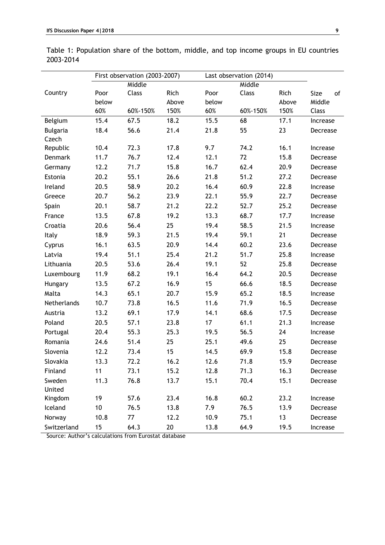|                 |       | First observation (2003-2007) |        |       | Last observation (2014) |       |            |
|-----------------|-------|-------------------------------|--------|-------|-------------------------|-------|------------|
|                 |       | Middle                        |        |       | Middle                  |       |            |
| Country         | Poor  | Class                         | Rich   | Poor  | Class                   | Rich  | Size<br>of |
|                 | below |                               | Above  | below |                         | Above | Middle     |
|                 | 60%   | 60%-150%                      | 150%   | 60%   | 60%-150%                | 150%  | Class      |
| Belgium         | 15.4  | 67.5                          | 18.2   | 15.5  | 68                      | 17.1  | Increase   |
| <b>Bulgaria</b> | 18.4  | 56.6                          | 21.4   | 21.8  | 55                      | 23    | Decrease   |
| Czech           |       |                               |        |       |                         |       |            |
| Republic        | 10.4  | 72.3                          | 17.8   | 9.7   | 74.2                    | 16.1  | Increase   |
| Denmark         | 11.7  | 76.7                          | 12.4   | 12.1  | 72                      | 15.8  | Decrease   |
| Germany         | 12.2  | 71.7                          | 15.8   | 16.7  | 62.4                    | 20.9  | Decrease   |
| Estonia         | 20.2  | 55.1                          | 26.6   | 21.8  | 51.2                    | 27.2  | Decrease   |
| Ireland         | 20.5  | 58.9                          | 20.2   | 16.4  | 60.9                    | 22.8  | Increase   |
| Greece          | 20.7  | 56.2                          | 23.9   | 22.1  | 55.9                    | 22.7  | Decrease   |
| Spain           | 20.1  | 58.7                          | 21.2   | 22.2  | 52.7                    | 25.2  | Decrease   |
| France          | 13.5  | 67.8                          | 19.2   | 13.3  | 68.7                    | 17.7  | Increase   |
| Croatia         | 20.6  | 56.4                          | 25     | 19.4  | 58.5                    | 21.5  | Increase   |
| Italy           | 18.9  | 59.3                          | 21.5   | 19.4  | 59.1                    | 21    | Decrease   |
| Cyprus          | 16.1  | 63.5                          | 20.9   | 14.4  | 60.2                    | 23.6  | Decrease   |
| Latvia          | 19.4  | 51.1                          | 25.4   | 21.2  | 51.7                    | 25.8  | Increase   |
| Lithuania       | 20.5  | 53.6                          | 26.4   | 19.1  | 52                      | 25.8  | Decrease   |
| Luxembourg      | 11.9  | 68.2                          | 19.1   | 16.4  | 64.2                    | 20.5  | Decrease   |
| Hungary         | 13.5  | 67.2                          | 16.9   | 15    | 66.6                    | 18.5  | Decrease   |
| Malta           | 14.3  | 65.1                          | 20.7   | 15.9  | 65.2                    | 18.5  | Increase   |
| Netherlands     | 10.7  | 73.8                          | 16.5   | 11.6  | 71.9                    | 16.5  | Decrease   |
| Austria         | 13.2  | 69.1                          | 17.9   | 14.1  | 68.6                    | 17.5  | Decrease   |
| Poland          | 20.5  | 57.1                          | 23.8   | 17    | 61.1                    | 21.3  | Increase   |
| Portugal        | 20.4  | 55.3                          | 25.3   | 19.5  | 56.5                    | 24    | Increase   |
| Romania         | 24.6  | 51.4                          | 25     | 25.1  | 49.6                    | 25    | Decrease   |
| Slovenia        | 12.2  | 73.4                          | 15     | 14.5  | 69.9                    | 15.8  | Decrease   |
| Slovakia        | 13.3  | 72.2                          | 16.2   | 12.6  | 71.8                    | 15.9  | Decrease   |
| Finland         | 11    | 73.1                          | 15.2   | 12.8  | 71.3                    | 16.3  | Decrease   |
| Sweden          | 11.3  | 76.8                          | 13.7   | 15.1  | 70.4                    | 15.1  | Decrease   |
| United          |       |                               |        |       |                         |       |            |
| Kingdom         | 19    | 57.6                          | 23.4   | 16.8  | 60.2                    | 23.2  | Increase   |
| Iceland         | 10    | 76.5                          | 13.8   | 7.9   | 76.5                    | 13.9  | Decrease   |
| Norway          | 10.8  | 77                            | 12.2   | 10.9  | 75.1                    | 13    | Decrease   |
| Switzerland     | 15    | 64.3                          | $20\,$ | 13.8  | 64.9                    | 19.5  | Increase   |

Table 1: Population share of the bottom, middle, and top income groups in EU countries 2003-2014

Source: Author's calculations from Eurostat database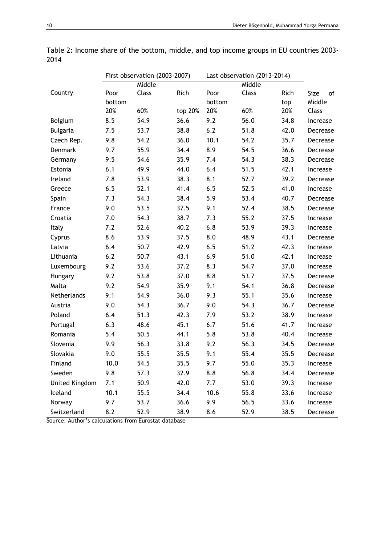|                 |        | First observation (2003-2007) |         |        | Last observation (2013-2014) |      |            |
|-----------------|--------|-------------------------------|---------|--------|------------------------------|------|------------|
|                 |        | Middle                        |         |        | Middle                       |      |            |
| Country         | Poor   | Class                         | Rich    | Poor   | Class                        | Rich | Size<br>of |
|                 | bottom |                               |         | bottom |                              | top  | Middle     |
|                 | 20%    | 60%                           | top 20% | 20%    | 60%                          | 20%  | Class      |
| Belgium         | 8.5    | 54.9                          | 36.6    | 9.2    | 56.0                         | 34.8 | Increase   |
| <b>Bulgaria</b> | 7.5    | 53.7                          | 38.8    | 6.2    | 51.8                         | 42.0 | Decrease   |
| Czech Rep.      | 9.8    | 54.2                          | 36.0    | 10.1   | 54.2                         | 35.7 | Decrease   |
| Denmark         | 9.7    | 55.9                          | 34.4    | 8.9    | 54.5                         | 36.6 | Decrease   |
| Germany         | 9.5    | 54.6                          | 35.9    | 7.4    | 54.3                         | 38.3 | Decrease   |
| Estonia         | 6.1    | 49.9                          | 44.0    | 6.4    | 51.5                         | 42.1 | Increase   |
| Ireland         | 7.8    | 53.9                          | 38.3    | 8.1    | 52.7                         | 39.2 | Decrease   |
| Greece          | 6.5    | 52.1                          | 41.4    | 6.5    | 52.5                         | 41.0 | Increase   |
| Spain           | 7.3    | 54.3                          | 38.4    | 5.9    | 53.4                         | 40.7 | Decrease   |
| France          | 9.0    | 53.5                          | 37.5    | 9.1    | 52.4                         | 38.5 | Decrease   |
| Croatia         | 7.0    | 54.3                          | 38.7    | 7.3    | 55.2                         | 37.5 | Increase   |
| Italy           | 7.2    | 52.6                          | 40.2    | 6.8    | 53.9                         | 39.3 | Increase   |
| Cyprus          | 8.6    | 53.9                          | 37.5    | 8.0    | 48.9                         | 43.1 | Decrease   |
| Latvia          | 6.4    | 50.7                          | 42.9    | 6.5    | 51.2                         | 42.3 | Increase   |
| Lithuania       | 6.2    | 50.7                          | 43.1    | 6.9    | 51.0                         | 42.1 | Increase   |
| Luxembourg      | 9.2    | 53.6                          | 37.2    | 8.3    | 54.7                         | 37.0 | Increase   |
| Hungary         | 9.2    | 53.8                          | 37.0    | 8.8    | 53.7                         | 37.5 | Decrease   |
| Malta           | 9.2    | 54.9                          | 35.9    | 9.1    | 54.1                         | 36.8 | Decrease   |
| Netherlands     | 9.1    | 54.9                          | 36.0    | 9.3    | 55.1                         | 35.6 | Increase   |
| Austria         | 9.0    | 54.3                          | 36.7    | 9.0    | 54.3                         | 36.7 | Decrease   |
| Poland          | 6.4    | 51.3                          | 42.3    | 7.9    | 53.2                         | 38.9 | Increase   |
| Portugal        | 6.3    | 48.6                          | 45.1    | 6.7    | 51.6                         | 41.7 | Increase   |
| Romania         | 5.4    | 50.5                          | 44.1    | 5.8    | 53.8                         | 40.4 | Increase   |
| Slovenia        | 9.9    | 56.3                          | 33.8    | 9.2    | 56.3                         | 34.5 | Decrease   |
| Slovakia        | 9.0    | 55.5                          | 35.5    | 9.1    | 55.4                         | 35.5 | Decrease   |
| Finland         | 10.0   | 54.5                          | 35.5    | 9.7    | 55.0                         | 35.3 | Increase   |
| Sweden          | 9.8    | 57.3                          | 32.9    | 8.8    | 56.8                         | 34.4 | Decrease   |
| United Kingdom  | 7.1    | 50.9                          | 42.0    | 7.7    | 53.0                         | 39.3 | Increase   |
| Iceland         | 10.1   | 55.5                          | 34.4    | 10.6   | 55.8                         | 33.6 | Increase   |
| Norway          | 9.7    | 53.7                          | 36.6    | 9.9    | 56.5                         | 33.6 | Increase   |
| Switzerland     | 8.2    | 52.9                          | 38.9    | 8.6    | 52.9                         | 38.5 | Decrease   |

Table 2: Income share of the bottom, middle, and top income groups in EU countries 2003- 2014

Source: Author's calculations from Eurostat database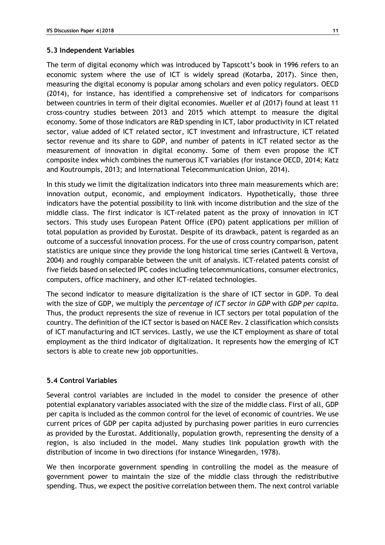## **5.3 Independent Variables**

The term of digital economy which was introduced by Tapscott's book in 1996 refers to an economic system where the use of ICT is widely spread (Kotarba, 2017). Since then, measuring the digital economy is popular among scholars and even policy regulators. OECD (2014), for instance, has identified a comprehensive set of indicators for comparisons between countries in term of their digital economies. Mueller *et al* (2017) found at least 11 cross-country studies between 2013 and 2015 which attempt to measure the digital economy. Some of those indicators are R&D spending in ICT, labor productivity in ICT related sector, value added of ICT related sector, ICT investment and infrastructure, ICT related sector revenue and its share to GDP, and number of patents in ICT related sector as the measurement of innovation in digital economy. Some of them even propose the ICT composite index which combines the numerous ICT variables (for instance OECD, 2014; Katz and Koutroumpis, 2013; and International Telecommunication Union, 2014).

In this study we limit the digitalization indicators into three main measurements which are: innovation output, economic, and employment indicators. Hypothetically, those three indicators have the potential possibility to link with income distribution and the size of the middle class. The first indicator is ICT-related patent as the proxy of innovation in ICT sectors. This study uses European Patent Office (EPO) patent applications per million of total population as provided by Eurostat. Despite of its drawback, patent is regarded as an outcome of a successful innovation process. For the use of cross country comparison, patent statistics are unique since they provide the long historical time series (Cantwell & Vertova, 2004) and roughly comparable between the unit of analysis. ICT-related patents consist of five fields based on selected IPC codes including telecommunications, consumer electronics, computers, office machinery, and other ICT-related technologies.

The second indicator to measure digitalization is the share of ICT sector in GDP. To deal with the size of GDP, we multiply the *percentage of ICT sector in GDP* with *GDP per capita*. Thus, the product represents the size of revenue in ICT sectors per total population of the country. The definition of the ICT sector is based on NACE Rev. 2 classification which consists of ICT manufacturing and ICT services. Lastly, we use the ICT employment as share of total employment as the third indicator of digitalization. It represents how the emerging of ICT sectors is able to create new job opportunities.

# **5.4 Control Variables**

Several control variables are included in the model to consider the presence of other potential explanatory variables associated with the size of the middle class. First of all, GDP per capita is included as the common control for the level of economic of countries. We use current prices of GDP per capita adjusted by purchasing power parities in euro currencies as provided by the Eurostat. Additionally, population growth, representing the density of a region, is also included in the model. Many studies link population growth with the distribution of income in two directions (for instance Winegarden, 1978).

We then incorporate government spending in controlling the model as the measure of government power to maintain the size of the middle class through the redistributive spending. Thus, we expect the positive correlation between them. The next control variable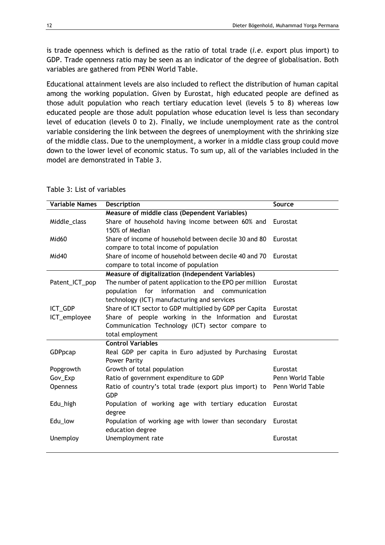is trade openness which is defined as the ratio of total trade (*i.e.* export plus import) to GDP. Trade openness ratio may be seen as an indicator of the degree of globalisation. Both variables are gathered from PENN World Table.

Educational attainment levels are also included to reflect the distribution of human capital among the working population. Given by Eurostat, high educated people are defined as those adult population who reach tertiary education level (levels 5 to 8) whereas low educated people are those adult population whose education level is less than secondary level of education (levels 0 to 2). Finally, we include unemployment rate as the control variable considering the link between the degrees of unemployment with the shrinking size of the middle class. Due to the unemployment, a worker in a middle class group could move down to the lower level of economic status. To sum up, all of the variables included in the model are demonstrated in Table 3.

| <b>Variable Names</b> | Description                                              | Source           |
|-----------------------|----------------------------------------------------------|------------------|
|                       | Measure of middle class (Dependent Variables)            |                  |
| Middle_class          | Share of household having income between 60% and         | Eurostat         |
|                       | 150% of Median                                           |                  |
| Mid <sub>60</sub>     | Share of income of household between decile 30 and 80    | Eurostat         |
|                       | compare to total income of population                    |                  |
| Mid <sub>40</sub>     | Share of income of household between decile 40 and 70    | Eurostat         |
|                       | compare to total income of population                    |                  |
|                       | Measure of digitalization (Independent Variables)        |                  |
| Patent_ICT_pop        | The number of patent application to the EPO per million  | Eurostat         |
|                       | and<br>for<br>information<br>communication<br>population |                  |
|                       | technology (ICT) manufacturing and services              |                  |
| ICT_GDP               | Share of ICT sector to GDP multiplied by GDP per Capita  | Eurostat         |
| ICT_employee          | Share of people working in the Information and           | Eurostat         |
|                       | Communication Technology (ICT) sector compare to         |                  |
|                       | total employment                                         |                  |
|                       | <b>Control Variables</b>                                 |                  |
| GDPpcap               | Real GDP per capita in Euro adjusted by Purchasing       | Eurostat         |
|                       | <b>Power Parity</b>                                      |                  |
| Popgrowth             | Growth of total population                               | Eurostat         |
| Gov_Exp               | Ratio of government expenditure to GDP                   | Penn World Table |
| <b>Openness</b>       | Ratio of country's total trade (export plus import) to   | Penn World Table |
|                       | <b>GDP</b>                                               |                  |
| Edu_high              | Population of working age with tertiary education        | Eurostat         |
|                       | degree                                                   |                  |
| Edu_low               | Population of working age with lower than secondary      | Eurostat         |
|                       | education degree                                         |                  |
| Unemploy              | Unemployment rate                                        | Eurostat         |
|                       |                                                          |                  |

Table 3: List of variables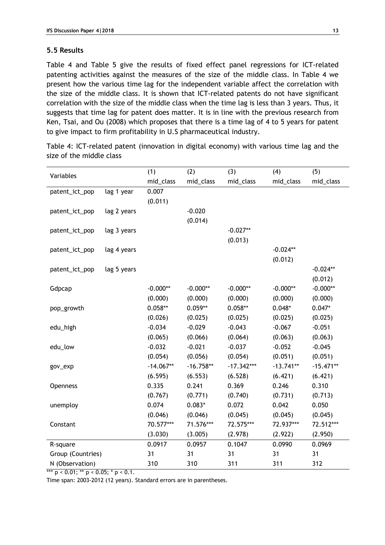# **5.5 Results**

Table 4 and Table 5 give the results of fixed effect panel regressions for ICT-related patenting activities against the measures of the size of the middle class. In Table 4 we present how the various time lag for the independent variable affect the correlation with the size of the middle class. It is shown that ICT-related patents do not have significant correlation with the size of the middle class when the time lag is less than 3 years. Thus, it suggests that time lag for patent does matter. It is in line with the previous research from Ken, Tsai, and Ou (2008) which proposes that there is a time lag of 4 to 5 years for patent to give impact to firm profitability in U.S pharmaceutical industry.

Variables (1) (2) (3) (4) (5) mid\_class mid\_class mid\_class mid\_class mid\_class patent\_ict\_pop lag 1 year 0.007 (0.011) patent\_ict\_pop lag 2 years -0.020 (0.014) patent\_ict\_pop lag 3 years -0.027\*\* (0.013) patent\_ict\_pop lag 4 years -0.024\*\* (0.012) patent\_ict\_pop lag 5 years -0.024\*\* (0.012) Gdpcap -0.000\*\* -0.000\*\* -0.000\*\* -0.000\*\* -0.000\*\*  $(0.000)$   $(0.000)$   $(0.000)$   $(0.000)$   $(0.000)$ pop\_growth 0.058\*\* 0.059\*\* 0.058\*\* 0.048\* 0.047\*  $(0.026)$   $(0.025)$   $(0.025)$   $(0.025)$   $(0.025)$ edu\_high -0.034 -0.029 -0.043 -0.067 -0.051  $(0.065)$   $(0.066)$   $(0.064)$   $(0.063)$   $(0.063)$ edu\_low -0.032 -0.021 -0.037 -0.052 -0.045 (0.054) (0.056) (0.054) (0.051) (0.051) gov\_exp -14.067\*\* -16.758\*\* -17.342\*\*\* -13.741\*\* -15.471\*\* (6.595) (6.553) (6.528) (6.421) (6.421) Openness 0.335 0.241 0.369 0.246 0.310  $(0.767)$   $(0.771)$   $(0.740)$   $(0.731)$   $(0.713)$ unemploy 0.074 0.083\* 0.072 0.042 0.050  $(0.046)$   $(0.046)$   $(0.045)$   $(0.045)$   $(0.045)$ Constant 70.577\*\*\* 71.576\*\*\* 72.575\*\*\* 72.937\*\*\* 72.512\*\*\* (3.030) (3.005) (2.978) (2.922) (2.950) R-square 0.0917 0.0957 0.1047 0.0990 0.0969 Group (Countries) 31 31 31 31 31 31 31 N (Observation) 310 310 311 311 312

Table 4: ICT-related patent (innovation in digital economy) with various time lag and the size of the middle class

\*\*\*  $p < 0.01$ ; \*\*  $p < 0.05$ ; \*  $p < 0.1$ .

Time span: 2003-2012 (12 years). Standard errors are in parentheses.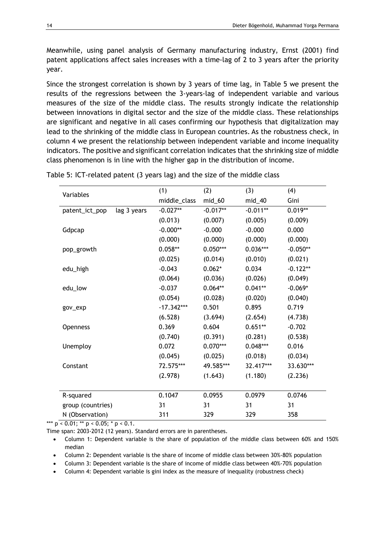Meanwhile, using panel analysis of Germany manufacturing industry, Ernst (2001) find patent applications affect sales increases with a time-lag of 2 to 3 years after the priority year.

Since the strongest correlation is shown by 3 years of time lag, in Table 5 we present the results of the regressions between the 3-years-lag of independent variable and various measures of the size of the middle class. The results strongly indicate the relationship between innovations in digital sector and the size of the middle class. These relationships are significant and negative in all cases confirming our hypothesis that digitalization may lead to the shrinking of the middle class in European countries. As the robustness check, in column 4 we present the relationship between independent variable and income inequality indicators. The positive and significant correlation indicates that the shrinking size of middle class phenomenon is in line with the higher gap in the distribution of income.

| Variables         |             | (1)          | (2)        | (3)        | (4)        |
|-------------------|-------------|--------------|------------|------------|------------|
|                   |             | middle_class | $mid_60$   | $mid_40$   | Gini       |
| patent_ict_pop    | lag 3 years | $-0.027**$   | $-0.017**$ | $-0.011**$ | $0.019**$  |
|                   |             | (0.013)      | (0.007)    | (0.005)    | (0.009)    |
| Gdpcap            |             | $-0.000**$   | $-0.000$   | $-0.000$   | 0.000      |
|                   |             | (0.000)      | (0.000)    | (0.000)    | (0.000)    |
| pop_growth        |             | $0.058**$    | $0.050***$ | $0.036***$ | $-0.050**$ |
|                   |             | (0.025)      | (0.014)    | (0.010)    | (0.021)    |
| edu_high          |             | $-0.043$     | $0.062*$   | 0.034      | $-0.122**$ |
|                   |             | (0.064)      | (0.036)    | (0.026)    | (0.049)    |
| edu_low           |             | $-0.037$     | $0.064**$  | $0.041**$  | $-0.069*$  |
|                   |             | (0.054)      | (0.028)    | (0.020)    | (0.040)    |
| gov_exp           |             | $-17.342***$ | 0.501      | 0.895      | 0.719      |
|                   |             | (6.528)      | (3.694)    | (2.654)    | (4.738)    |
| Openness          |             | 0.369        | 0.604      | $0.651**$  | $-0.702$   |
|                   |             | (0.740)      | (0.391)    | (0.281)    | (0.538)    |
| Unemploy          |             | 0.072        | $0.070***$ | $0.048***$ | 0.016      |
|                   |             | (0.045)      | (0.025)    | (0.018)    | (0.034)    |
| Constant          |             | 72.575***    | 49.585***  | 32.417***  | 33.630***  |
|                   |             | (2.978)      | (1.643)    | (1.180)    | (2.236)    |
|                   |             |              |            |            |            |
| R-squared         |             | 0.1047       | 0.0955     | 0.0979     | 0.0746     |
| group (countries) |             | 31           | 31         | 31         | 31         |
| N (Observation)   |             | 311          | 329        | 329        | 358        |

Table 5: ICT-related patent (3 years lag) and the size of the middle class

\*\*\*  $p < 0.01$ ; \*\*  $p < 0.05$ ; \*  $p < 0.1$ .

Time span: 2003-2012 (12 years). Standard errors are in parentheses.

 Column 1: Dependent variable is the share of population of the middle class between 60% and 150% median

Column 2: Dependent variable is the share of income of middle class between 30%-80% population

Column 3: Dependent variable is the share of income of middle class between 40%-70% population

Column 4: Dependent variable is gini index as the measure of inequality (robustness check)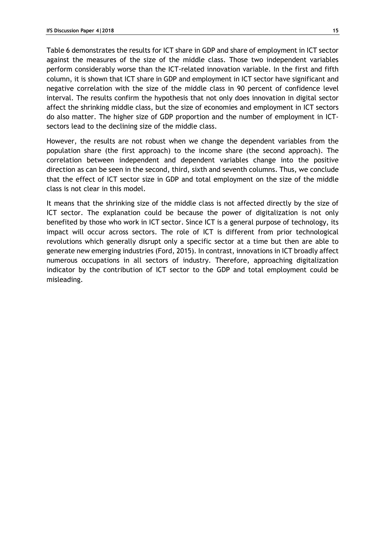Table 6 demonstrates the results for ICT share in GDP and share of employment in ICT sector against the measures of the size of the middle class. Those two independent variables perform considerably worse than the ICT-related innovation variable. In the first and fifth column, it is shown that ICT share in GDP and employment in ICT sector have significant and negative correlation with the size of the middle class in 90 percent of confidence level interval. The results confirm the hypothesis that not only does innovation in digital sector affect the shrinking middle class, but the size of economies and employment in ICT sectors do also matter. The higher size of GDP proportion and the number of employment in ICTsectors lead to the declining size of the middle class.

However, the results are not robust when we change the dependent variables from the population share (the first approach) to the income share (the second approach). The correlation between independent and dependent variables change into the positive direction as can be seen in the second, third, sixth and seventh columns. Thus, we conclude that the effect of ICT sector size in GDP and total employment on the size of the middle class is not clear in this model.

It means that the shrinking size of the middle class is not affected directly by the size of ICT sector. The explanation could be because the power of digitalization is not only benefited by those who work in ICT sector. Since ICT is a general purpose of technology, its impact will occur across sectors. The role of ICT is different from prior technological revolutions which generally disrupt only a specific sector at a time but then are able to generate new emerging industries (Ford, 2015). In contrast, innovations in ICT broadly affect numerous occupations in all sectors of industry. Therefore, approaching digitalization indicator by the contribution of ICT sector to the GDP and total employment could be misleading.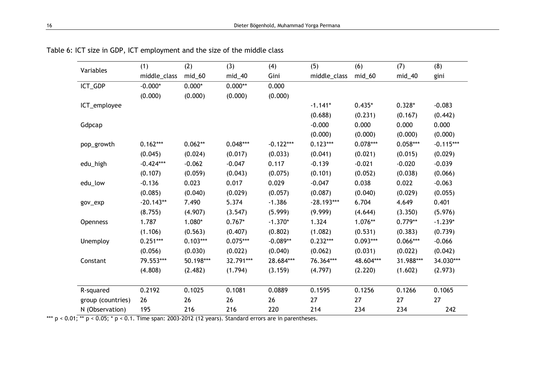| Variables         | (1)          | (2)        | (3)        | (4)         | (5)          | (6)        | (7)        | (8)         |
|-------------------|--------------|------------|------------|-------------|--------------|------------|------------|-------------|
|                   | middle_class | $mid_60$   | $mid_40$   | Gini        | middle_class | $mid_60$   | $mid_40$   | gini        |
| ICT_GDP           | $-0.000*$    | $0.000*$   | $0.000**$  | 0.000       |              |            |            |             |
|                   | (0.000)      | (0.000)    | (0.000)    | (0.000)     |              |            |            |             |
| ICT_employee      |              |            |            |             | $-1.141*$    | $0.435*$   | $0.328*$   | $-0.083$    |
|                   |              |            |            |             | (0.688)      | (0.231)    | (0.167)    | (0.442)     |
| Gdpcap            |              |            |            |             | $-0.000$     | 0.000      | 0.000      | 0.000       |
|                   |              |            |            |             | (0.000)      | (0.000)    | (0.000)    | (0.000)     |
| pop_growth        | $0.162***$   | $0.062**$  | $0.048***$ | $-0.122***$ | $0.123***$   | $0.078***$ | $0.058***$ | $-0.115***$ |
|                   | (0.045)      | (0.024)    | (0.017)    | (0.033)     | (0.041)      | (0.021)    | (0.015)    | (0.029)     |
| edu_high          | $-0.424***$  | $-0.062$   | $-0.047$   | 0.117       | $-0.139$     | $-0.021$   | $-0.020$   | $-0.039$    |
|                   | (0.107)      | (0.059)    | (0.043)    | (0.075)     | (0.101)      | (0.052)    | (0.038)    | (0.066)     |
| edu_low           | $-0.136$     | 0.023      | 0.017      | 0.029       | $-0.047$     | 0.038      | 0.022      | $-0.063$    |
|                   | (0.085)      | (0.040)    | (0.029)    | (0.057)     | (0.087)      | (0.040)    | (0.029)    | (0.055)     |
| gov_exp           | $-20.143**$  | 7.490      | 5.374      | $-1.386$    | $-28.193***$ | 6.704      | 4.649      | 0.401       |
|                   | (8.755)      | (4.907)    | (3.547)    | (5.999)     | (9.999)      | (4.644)    | (3.350)    | (5.976)     |
| Openness          | 1.787        | 1.080*     | $0.767*$   | $-1.370*$   | 1.324        | 1.076**    | $0.779**$  | $-1.239*$   |
|                   | (1.106)      | (0.563)    | (0.407)    | (0.802)     | (1.082)      | (0.531)    | (0.383)    | (0.739)     |
| Unemploy          | $0.251***$   | $0.103***$ | $0.075***$ | $-0.089**$  | $0.232***$   | $0.093***$ | $0.066***$ | $-0.066$    |
|                   | (0.056)      | (0.030)    | (0.022)    | (0.040)     | (0.062)      | (0.031)    | (0.022)    | (0.042)     |
| Constant          | 79.553***    | 50.198***  | 32.791***  | 28.684***   | 76.364***    | 48.604***  | 31.988***  | 34.030***   |
|                   | (4.808)      | (2.482)    | (1.794)    | (3.159)     | (4.797)      | (2.220)    | (1.602)    | (2.973)     |
| R-squared         | 0.2192       | 0.1025     | 0.1081     | 0.0889      | 0.1595       | 0.1256     | 0.1266     | 0.1065      |
| group (countries) | 26           | 26         | 26         | 26          | 27           | 27         | 27         | 27          |
| N (Observation)   | 195          | 216        | 216        | 220         | 214          | 234        | 234        | 242         |

Table 6: ICT size in GDP, ICT employment and the size of the middle class

\*\*\*  $p < 0.01$ ; \*\*  $p < 0.05$ ; \*  $p < 0.1$ . Time span: 2003-2012 (12 years). Standard errors are in parentheses.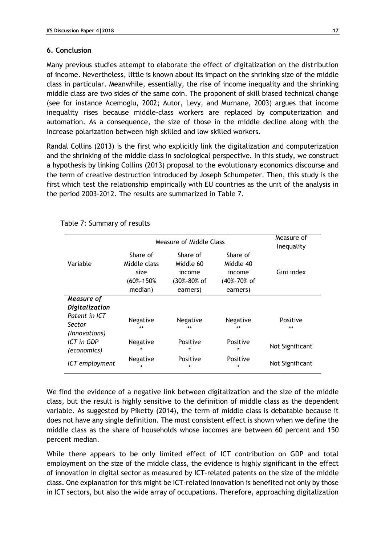# **6. Conclusion**

Many previous studies attempt to elaborate the effect of digitalization on the distribution of income. Nevertheless, little is known about its impact on the shrinking size of the middle class in particular. Meanwhile, essentially, the rise of income inequality and the shrinking middle class are two sides of the same coin. The proponent of skill biased technical change (see for instance Acemoglu, 2002; Autor, Levy, and Murnane, 2003) argues that income inequality rises because middle-class workers are replaced by computerization and automation. As a consequence, the size of those in the middle decline along with the increase polarization between high skilled and low skilled workers.

Randal Collins (2013) is the first who explicitly link the digitalization and computerization and the shrinking of the middle class in sociological perspective. In this study, we construct a hypothesis by linking Collins (2013) proposal to the evolutionary economics discourse and the term of creative destruction introduced by Joseph Schumpeter. Then, this study is the first which test the relationship empirically with EU countries as the unit of the analysis in the period 2003-2012. The results are summarized in Table 7.

|                | Measure of Middle Class | Measure of<br>Inequality |                    |                 |
|----------------|-------------------------|--------------------------|--------------------|-----------------|
|                | Share of                | Share of                 | Share of           |                 |
| Variable       | Middle class            | Middle 60                | Middle 40          |                 |
|                | size                    | income                   | income             | Gini index      |
|                | $(60% - 150%$           | (30%-80% of              | (40%-70% of        |                 |
|                | median)                 | earners)                 | earners)           |                 |
| Measure of     |                         |                          |                    |                 |
| Digitalization |                         |                          |                    |                 |
| Patent in ICT  | Negative                | Negative                 | Negative           | Positive        |
| Sector         | **                      | **                       | **                 | $**$            |
| (Innovations)  |                         |                          |                    |                 |
| ICT in GDP     | Negative                | Positive                 | Positive           | Not Significant |
| (economics)    | $\star$                 | $\star$                  | $\star$            |                 |
| ICT employment | Negative<br>$\ast$      | Positive<br>$\star$      | Positive<br>$\ast$ | Not Significant |

Table 7: Summary of results

We find the evidence of a negative link between digitalization and the size of the middle class, but the result is highly sensitive to the definition of middle class as the dependent variable. As suggested by Piketty (2014), the term of middle class is debatable because it does not have any single definition. The most consistent effect is shown when we define the middle class as the share of households whose incomes are between 60 percent and 150 percent median.

While there appears to be only limited effect of ICT contribution on GDP and total employment on the size of the middle class, the evidence is highly significant in the effect of innovation in digital sector as measured by ICT-related patents on the size of the middle class. One explanation for this might be ICT-related innovation is benefited not only by those in ICT sectors, but also the wide array of occupations. Therefore, approaching digitalization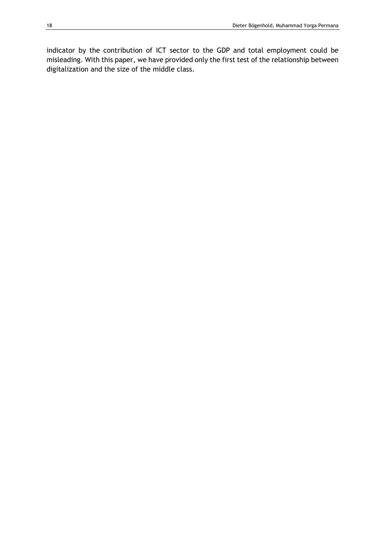indicator by the contribution of ICT sector to the GDP and total employment could be misleading. With this paper, we have provided only the first test of the relationship between digitalization and the size of the middle class.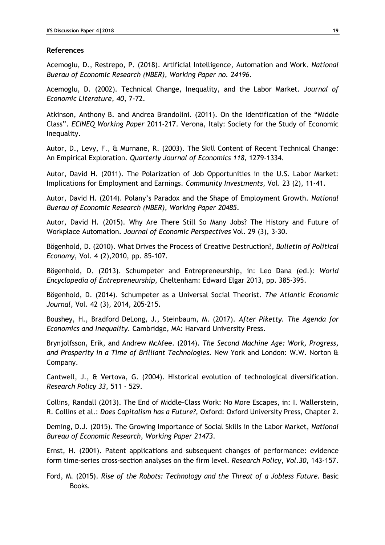#### **References**

Acemoglu, D., Restrepo, P. (2018). Artificial Intelligence, Automation and Work. *National Buerau of Economic Research (NBER), Working Paper no. 24196*.

Acemoglu, D. (2002). Technical Change, Inequality, and the Labor Market. *Journal of Economic Literature, 40*, 7-72.

Atkinson, Anthony B. and Andrea Brandolini. (2011). On the Identification of the "Middle Class". *ECINEQ Working Paper* 2011-217. Verona, Italy: Society for the Study of Economic Inequality.

Autor, D., Levy, F., & Murnane, R. (2003). The Skill Content of Recent Technical Change: An Empirical Exploration. *Quarterly Journal of Economics 118*, 1279-1334.

Autor, David H. (2011). The Polarization of Job Opportunities in the U.S. Labor Market: Implications for Employment and Earnings. *Community Investments*, Vol. 23 (2), 11-41.

Autor, David H. (2014). Polany's Paradox and the Shape of Employment Growth. *National Buerau of Economic Research (NBER), Working Paper 20485*.

Autor, David H. (2015). Why Are There Still So Many Jobs? The History and Future of Workplace Automation. *Journal of Economic Perspectives* Vol. 29 (3), 3-30.

Bˆgenhold, D. (2010). What Drives the Process of Creative Destruction?, *Bulletin of Political Economy*, Vol. 4 (2),2010, pp. 85-107.

Bˆgenhold, D. (2013). Schumpeter and Entrepreneurship, in: Leo Dana (ed.): *World Encyclopedia of Entrepreneurship*, Cheltenham: Edward Elgar 2013, pp. 385-395.

Bˆgenhold, D. (2014). Schumpeter as a Universal Social Theorist. *The Atlantic Economic Journal*, Vol. 42 (3), 2014, 205-215.

Boushey, H., Bradford DeLong, J., Steinbaum, M. (2017). *After Piketty. The Agenda for Economics and Inequality*. Cambridge, MA: Harvard University Press.

Brynjolfsson, Erik, and Andrew McAfee. (2014). *The Second Machine Age: Work, Progress, and Prosperity in a Time of Brilliant Technologies.* New York and London: W.W. Norton & Company.

Cantwell, J., & Vertova, G. (2004). Historical evolution of technological diversification. *Research Policy 33*, 511 - 529.

Collins, Randall (2013). The End of Middle-Class Work: No More Escapes, in: I. Wallerstein, R. Collins et al.: *Does Capitalism has a Future?,* Oxford: Oxford University Press, Chapter 2.

Deming, D.J. (2015). The Growing Importance of Social Skills in the Labor Market, *National Bureau of Economic Research, Working Paper 21473*.

Ernst, H. (2001). Patent applications and subsequent changes of performance: evidence form time-series cross-section analyses on the firm level. *Research Policy, Vol.30*, 143-157.

Ford, M. (2015). *Rise of the Robots: Technology and the Threat of a Jobless Future.* Basic Books.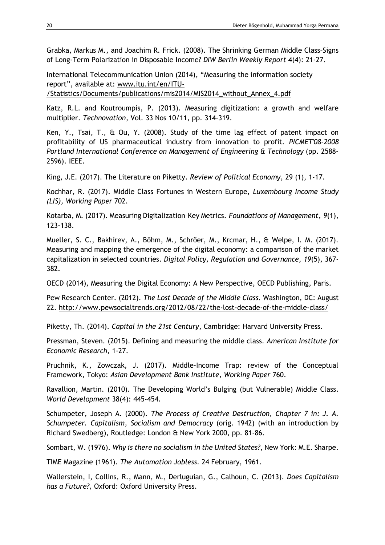Grabka, Markus M., and Joachim R. Frick. (2008). The Shrinking German Middle Class-Signs of Long-Term Polarization in Disposable Income? *DIW Berlin Weekly Report* 4(4): 21-27.

International Telecommunication Union (2014), Measuring the information society report", available at: www.itu.int/en/ITU-

/Statistics/Documents/publications/mis2014/MIS2014\_without\_Annex\_4.pdf

Katz, R.L. and Koutroumpis, P. (2013). Measuring digitization: a growth and welfare multiplier. *Technovation,* Vol. 33 Nos 10/11, pp. 314-319.

Ken, Y., Tsai, T., & Ou, Y. (2008). Study of the time lag effect of patent impact on profitability of US pharmaceutical industry from innovation to profit. *PICMET'08-2008 Portland International Conference on Management of Engineering & Technology* (pp. 2588- 2596). IEEE.

King, J.E. (2017). The Literature on Piketty. *Review of Political Economy*, 29 (1), 1-17.

Kochhar, R. (2017). Middle Class Fortunes in Western Europe, *Luxembourg Income Study (LIS), Working Paper* 702.

Kotarba, M. (2017). Measuring Digitalization-Key Metrics. *Foundations of Management*, 9(1), 123-138.

Mueller, S. C., Bakhirev, A., Böhm, M., Schröer, M., Krcmar, H., & Welpe, I. M. (2017). Measuring and mapping the emergence of the digital economy: a comparison of the market capitalization in selected countries. *Digital Policy, Regulation and Governance*, *19*(5), 367- 382.

OECD (2014), Measuring the Digital Economy: A New Perspective, OECD Publishing, Paris.

Pew Research Center. (2012). *The Lost Decade of the Middle Class*. Washington, DC: August 22. http://www.pewsocialtrends.org/2012/08/22/the-lost-decade-of-the-middle-class/

Piketty, Th. (2014). *Capital in the 21st Century*, Cambridge: Harvard University Press.

Pressman, Steven. (2015). Defining and measuring the middle class. *American Institute for Economic Research*, 1-27.

Pruchnik, K., Zowczak, J. (2017). Middle-Income Trap: review of the Conceptual Framework, Tokyo: *Asian Development Bank Institute, Working Paper* 760.

Ravallion, Martin. (2010). The Developing World's Bulging (but Vulnerable) Middle Class. *World Development* 38(4): 445-454.

Schumpeter, Joseph A. (2000). *The Process of Creative Destruction, Chapter 7 in: J. A. Schumpeter. Capitalism, Socialism and Democracy* (orig. 1942) (with an introduction by Richard Swedberg), Routledge: London & New York 2000, pp. 81-86.

Sombart, W. (1976). *Why is there no socialism in the United States?*, New York: M.E. Sharpe.

TIME Magazine (1961). *The Automation Jobless*. 24 February, 1961.

Wallerstein, I, Collins, R., Mann, M., Derluguian, G., Calhoun, C. (2013). *Does Capitalism has a Future?,* Oxford: Oxford University Press.